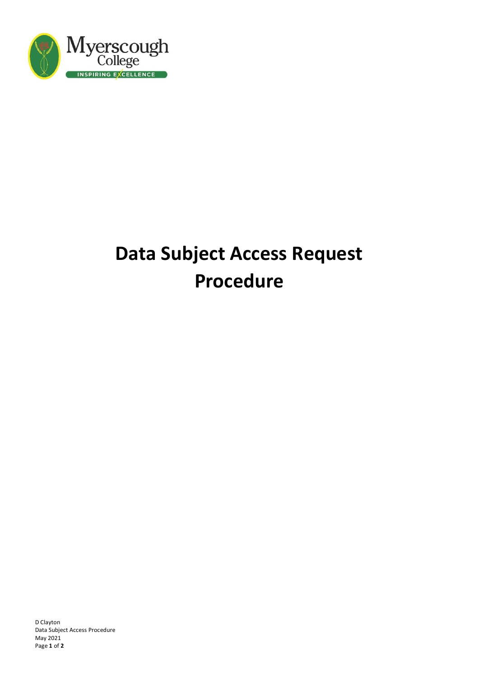

## **Data Subject Access Request Procedure**

D Clayton Data Subject Access Procedure May 2021 Page **1** of **2**